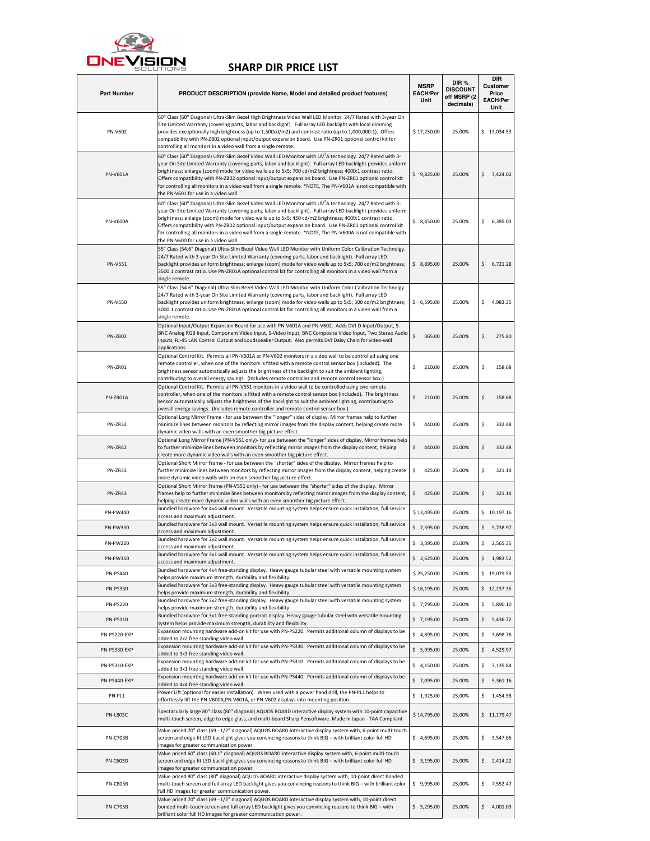

## SHARP DIR PRICE LIST

| <b>Part Number</b> | PRODUCT DESCRIPTION (provide Name, Model and detailed product features)                                                                                                                                                                                                                                                                                                                                                                                                                                                                                                                                                   | <b>MSRP</b><br><b>EACH/Per</b><br>Unit | DIR %<br><b>DISCOUNT</b><br>off MSRP (2<br>decimals) | DIR<br><b>Customer</b><br>Price<br><b>EACH/Per</b><br>Unit |  |
|--------------------|---------------------------------------------------------------------------------------------------------------------------------------------------------------------------------------------------------------------------------------------------------------------------------------------------------------------------------------------------------------------------------------------------------------------------------------------------------------------------------------------------------------------------------------------------------------------------------------------------------------------------|----------------------------------------|------------------------------------------------------|------------------------------------------------------------|--|
| <b>PN-V602</b>     | 60" Class (60" Diagonal) Ultra-Slim Bezel High Brightness Video Wall LED Monitor. 24/7 Rated with 3-year On<br>Site Limited Warranty (covering parts, labor and backlight). Full array LED backlight with local dimming<br>provides exceptionally high brightness (up to 1,500cd/m2) and contrast ratio (up to 1,000,000:1). Offers<br>compatibility with PN-ZB02 optional input/output expansion board. Use PN-ZR01 optional control kit for<br>controlling all monitors in a video wall from a single remote.                                                                                                           | \$17,250.00                            | 25.00%                                               | \$13,034.53                                                |  |
| <b>PN-V601A</b>    | 60" Class (60" Diagonal) Ultra-Slim Bezel Video Wall LED Monitor with UV <sup>-</sup> A technology. 24/7 Rated with 3-<br>year On Site Limited Warranty (covering parts, labor and backlight). Full array LED backlight provides uniform<br>brightness; enlarge (zoom) mode for video walls up to 5x5; 700 cd/m2 brightness; 4000:1 contrast ratio.<br>Offers compatibility with PN-ZB02 optional input/output expansion board. Use PN-ZR01 optional control kit<br>for controlling all monitors in a video wall from a single remote. *NOTE, The PN-V601A is not compatible with<br>the PN-V601 for use in a video wall. | \$9,825.00                             | 25.00%                                               | \$<br>7,424.02                                             |  |
| <b>PN-V600A</b>    | 60" Class (60" Diagonal) Ultra-Slim Bezel Video Wall LED Monitor with UV A technology. 24/7 Rated with 3-<br>year On Site Limited Warranty (covering parts, labor and backlight). Full array LED backlight provides uniform<br>brightness; enlarge (zoom) mode for video walls up to 5x5; 450 cd/m2 brightness; 4000:1 contrast ratio.<br>Offers compatibility with PN-ZB02 optional input/output expansion board. Use PN-ZR01 optional control kit<br>for controlling all monitors in a video wall from a single remote. *NOTE, The PN-V600A is not compatible with<br>the PN-V600 for use in a video wall.              | \$3,450.00                             | 25.00%                                               | \$<br>6,385.03                                             |  |
| PN-V551            | 55" Class (54.6" Diagonal) Ultra-Slim Bezel Video Wall LED Monitor with Uniform Color Calibration Technolgy.<br>24/7 Rated with 3-year On Site Limited Warranty (covering parts, labor and backlight). Full array LED<br>backlight provides uniform brightness; enlarge (zoom) mode for video walls up to 5x5; 700 cd/m2 brightness;<br>3500:1 contrast ratio. Use PN-ZR01A optional control kit for controlling all monitors in a video wall from a<br>single remote.                                                                                                                                                    | \$8,895.00                             | 25.00%                                               | \$.<br>6,721.28                                            |  |
| <b>PN-V550</b>     | 55" Class (54.6" Diagonal) Ultra-Slim Bezel Video Wall LED Monitor with Uniform Color Calibration Technolgy.<br>24/7 Rated with 3-year On Site Limited Warranty (covering parts, labor and backlight). Full array LED<br>backlight provides uniform brightness; enlarge (zoom) mode for video walls up to 5x5; 500 cd/m2 brightness;<br>4000:1 contrast ratio. Use PN-ZR01A optional control kit for controlling all monitors in a video wall from a<br>single remote.                                                                                                                                                    | \$6,595.00                             | 25.00%                                               | \$<br>4,983.35                                             |  |
| <b>PN-ZB02</b>     | Optional Input/Output Expansion Board for use with PN-V601A and PN-V602. Adds DVI-D Input/Output, 5-<br>BNC Analog RGB Input, Component Video Input, S-Video Input, BNC Composite Video Input, Two Stereo Audio<br>Inputs, RJ-45 LAN Control Output and Loudspeaker Output. Also permits DVI Daisy Chain for video-wall<br>applications.                                                                                                                                                                                                                                                                                  | \$<br>365.00                           | 25.00%                                               | \$<br>275.80                                               |  |
| PN-ZR01            | Optional Control Kit. Permits all PN-V601A or PN-V602 monitors in a video wall to be controlled using one<br>remote controller, when one of the monitors is fitted with a remote control sensor box (included). The<br>brightness sensor automatically adjusts the brightness of the backlight to suit the ambient lighting,<br>contributing to overall energy savings. (Includes remote controller and remote control sensor box.)                                                                                                                                                                                       | Ś<br>210.00                            | 25.00%                                               | 158.68<br>\$                                               |  |
| PN-ZR01A           | Optional Control Kit. Permits all PN-V551 monitors in a video wall to be controlled using one remote<br>controller, when one of the monitors is fitted with a remote control sensor box (included). The brightness<br>sensor automatically adjusts the brightness of the backlight to suit the ambient lighting, contributing to<br>overall energy savings. (Includes remote controller and remote control sensor box.)                                                                                                                                                                                                   | Ś<br>210.00                            | 25.00%                                               | \$<br>158.68                                               |  |
| PN-ZR32            | Optional Long Mirror Frame - for use between the "longer" sides of display. Mirror frames help to further<br>minimize lines between monitors by reflecting mirror images from the display content, helping create more<br>dynamic video walls with an even smoother big picture effect.                                                                                                                                                                                                                                                                                                                                   | 440.00<br>\$                           | 25.00%                                               | \$<br>332.48                                               |  |
| PN-ZR42            | Optional Long Mirror Frame (PN-V551 only)- for use between the "longer" sides of display. Mirror frames help<br>to further minimize lines between monitors by reflecting mirror images from the display content, helping<br>create more dynamic video walls with an even smoother big picture effect.                                                                                                                                                                                                                                                                                                                     | \$<br>440.00                           | 25.00%                                               | \$<br>332.48                                               |  |
| PN-ZR33            | Optional Short Mirror Frame - for use between the "shorter" sides of the display. Mirror frames help to<br>further minimize lines between monitors by reflecting mirror images from the display content, helping create<br>more dynamic video walls with an even smoother big picture effect.                                                                                                                                                                                                                                                                                                                             | \$.<br>425.00                          | 25.00%                                               | \$<br>321.14                                               |  |
| PN-ZR43            | Optional Short Mirror Frame (PN-V551 only) - for use between the "shorter" sides of the display. Mirror<br>frames help to further minimize lines between monitors by reflecting mirror images from the display content,<br>helping create more dynamic video walls with an even smoother big picture effect.                                                                                                                                                                                                                                                                                                              | \$<br>425.00                           | 25.00%                                               | \$<br>321.14                                               |  |
| PN-PW440           | Bundled hardware for 4x4 wall mount. Versatile mounting system helps ensure quick installation, full service<br>access and maximum adjustment.                                                                                                                                                                                                                                                                                                                                                                                                                                                                            | \$13,495.00                            | 25.00%                                               | \$10,197.16                                                |  |
| PN-PW330           | Bundled hardware for 3x3 wall mount. Versatile mounting system helps ensure quick installation, full service<br>access and maximum adjustment.                                                                                                                                                                                                                                                                                                                                                                                                                                                                            | \$7,595.00                             | 25.00%                                               | \$<br>5,738.97                                             |  |
| <b>PN-PW220</b>    | Bundled hardware for 2x2 wall mount. Versatile mounting system helps ensure quick installation, full service                                                                                                                                                                                                                                                                                                                                                                                                                                                                                                              | \$3,395.00                             | 25.00%                                               | \$.<br>2,565.35                                            |  |
| PN-PW310           | access and maximum adjustment.<br>Bundled hardware for 3x1 wall mount.  Versatile mounting system helps ensure quick installation, full service                                                                                                                                                                                                                                                                                                                                                                                                                                                                           | \$2,625.00                             | 25.00%                                               | \$<br>1,983.52                                             |  |
| <b>PN-PS440</b>    | access and maximum adjustment.<br>Bundled hardware for 4x4 free-standing display. Heavy gauge tubular steel with versatile mounting system                                                                                                                                                                                                                                                                                                                                                                                                                                                                                | \$25,250.00                            | 25.00%                                               | \$19,079.53                                                |  |
| <b>PN-PS330</b>    | helps provide maximum strength, durability and flexibility.<br>Bundled hardware for 3x3 free-standing display. Heavy gauge tubular steel with versatile mounting system                                                                                                                                                                                                                                                                                                                                                                                                                                                   | \$16,195.00                            | 25.00%                                               | \$12,237.35                                                |  |
| <b>PN-PS220</b>    | helps provide maximum strength, durability and flexibility.<br>Bundled hardware for 2x2 free-standing display. Heavy gauge tubular steel with versatile mounting system                                                                                                                                                                                                                                                                                                                                                                                                                                                   | \$7,795.00                             | 25.00%                                               | \$<br>5,890.10                                             |  |
|                    | helps provide maximum strength, durability and flexibility.<br>Bundled hardware for 3x1 free-standing portrait display. Heavy gauge tubular steel with versatile mounting                                                                                                                                                                                                                                                                                                                                                                                                                                                 |                                        |                                                      |                                                            |  |
| PN-PS310           | system helps provide maximum strength, durability and flexibility.<br>Expansion mounting hardware add-on kit for use with PN-PS220. Permits additional column of displays to be                                                                                                                                                                                                                                                                                                                                                                                                                                           | \$7,195.00                             | 25.00%                                               | \$<br>5,436.72                                             |  |
| PN-PS220-EXP       | added to 2x2 free standing video wall.<br>Expansion mounting hardware add-on kit for use with PN-PS330. Permits additional column of displays to be                                                                                                                                                                                                                                                                                                                                                                                                                                                                       | \$4,895.00                             | 25.00%                                               | \$<br>3,698.78                                             |  |
| PN-PS330-EXP       | added to 3x3 free standing video wall.<br>Expansion mounting hardware add-on kit for use with PN-PS310. Permits additional column of displays to be                                                                                                                                                                                                                                                                                                                                                                                                                                                                       | \$5,995.00                             | 25.00%                                               | \$<br>4,529.97                                             |  |
| PN-PS310-EXP       | added to 3x1 free standing video wall.                                                                                                                                                                                                                                                                                                                                                                                                                                                                                                                                                                                    | \$4,150.00                             | 25.00%                                               | \$<br>3,135.84                                             |  |
| PN-PS440-EXP       | Expansion mounting hardware add-on kit for use with PN-PS440. Permits additional column of displays to be<br>added to 4x4 free standing video wall.                                                                                                                                                                                                                                                                                                                                                                                                                                                                       | \$7,095.00                             | 25.00%                                               | \$<br>5,361.16                                             |  |
| PN-PL1             | Power Lift (optional for easier installation). When used with a power hand drill, the PN-PL1 helps to<br>effortlessly lift the PN-V600A,PN-V601A, or PN-V602 displays into mounting position.                                                                                                                                                                                                                                                                                                                                                                                                                             | \$1,925.00                             | 25.00%                                               | \$<br>1,454.58                                             |  |
| <b>PN-L803C</b>    | Spectacularly large 80" class (80" diagonal) AQUOS BOARD interactive display system with 10-point capacitive<br>multi-touch screen, edge to edge glass, and multi-board Sharp Pensoftware. Made in Japan - TAA Compliant                                                                                                                                                                                                                                                                                                                                                                                                  | \$14,795.00                            | 25.00%                                               | \$11,179.47                                                |  |
| <b>PN-C703B</b>    | Value priced 70" class (69 - 1/2" diagonal) AQUOS BOARD interactive display system with, 6-point multi-touch<br>screen and edge-lit LED backlight gives you convincing reasons to think BIG - with brilliant color full HD<br>images for greater communication power.                                                                                                                                                                                                                                                                                                                                                     | \$4,695.00                             | 25.00%                                               | \$<br>3,547.66                                             |  |
| PN-C603D           | Value priced 60" class (60.1" diagonal) AQUOS BOARD interactive display system with, 6-point multi-touch<br>screen and edge-lit LED backlight gives you convincing reasons to think BIG - with brilliant color full HD<br>mages for greater communication power.                                                                                                                                                                                                                                                                                                                                                          | \$3,195.00                             | 25.00%                                               | \$<br>2,414.22                                             |  |
| <b>PN-C805B</b>    | Value priced 80" class (80" diagonal) AQUOS BOARD interactive display system with, 10-point direct bonded<br>multi-touch screen and full array LED backlight gives you convincing reasons to think BIG - with brilliant color<br>full HD images for greater communication power.                                                                                                                                                                                                                                                                                                                                          | \$9,995.00                             | 25.00%                                               | \$<br>7,552.47                                             |  |
| <b>PN-C705B</b>    | Value priced 70" class (69 - 1/2" diagonal) AQUOS BOARD interactive display system with, 10-point direct<br>bonded multi-touch screen and full array LED backlight gives you convincing reasons to think BIG - with<br>brilliant color full HD images for greater communication power.                                                                                                                                                                                                                                                                                                                                    | \$5,295.00                             | 25.00%                                               | \$<br>4,001.03                                             |  |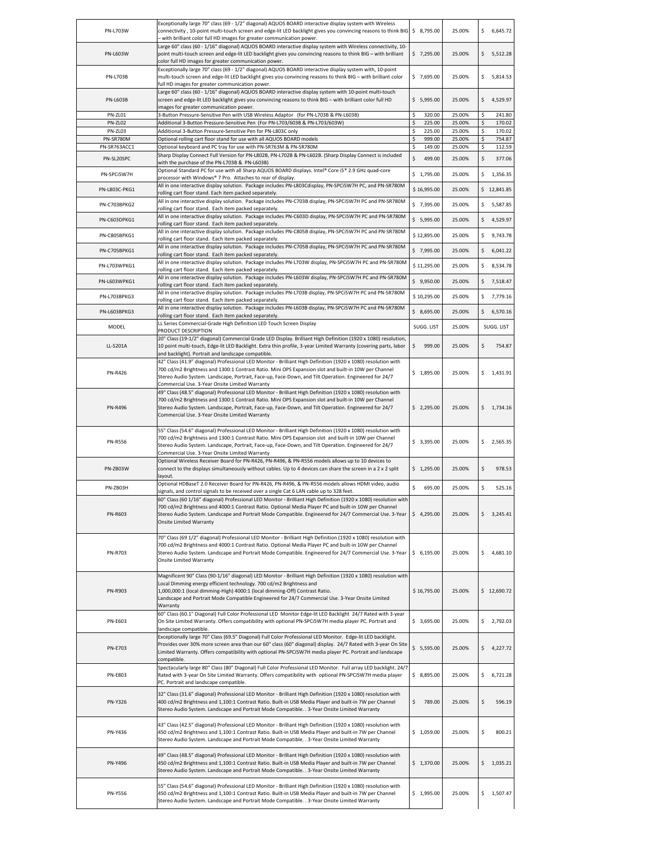| PN-L703W       | Exceptionally large 70" class (69 - 1/2" diagonal) AQUOS BOARD interactive display system with Wireless<br>connectivity, 10-point multi-touch screen and edge-lit LED backlight gives you convincing reasons to think BIG<br>- with brilliant color full HD images for greater communication power.                                                                                   | \$8,795.00   | 25.00% | 6,645.72<br>Ś. |
|----------------|---------------------------------------------------------------------------------------------------------------------------------------------------------------------------------------------------------------------------------------------------------------------------------------------------------------------------------------------------------------------------------------|--------------|--------|----------------|
| PN-L603W       | Large 60" class (60 - 1/16" diagonal) AQUOS BOARD interactive display system with Wireless connectivity, 10-<br>point multi-touch screen and edge-lit LED backlight gives you convincing reasons to think BIG - with brilliant                                                                                                                                                        | \$7,295.00   | 25.00% | 5,512.28<br>\$ |
| PN-L703B       | color full HD images for greater communication power.<br>Exceptionally large 70" class (69 - 1/2" diagonal) AQUOS BOARD interactive display system with, 10-point<br>multi-touch screen and edge-lit LED backlight gives you convincing reasons to think BIG - with brilliant color                                                                                                   | \$7,695.00   | 25.00% | 5,814.53<br>\$ |
| PN-L603B       | full HD images for greater communication power.<br>Large 60" class (60 - 1/16" diagonal) AQUOS BOARD interactive display system with 10-point multi-touch<br>screen and edge-lit LED backlight gives you convincing reasons to think BIG - with brilliant color full HD                                                                                                               | \$5,995.00   | 25.00% | \$<br>4,529.97 |
| PN-ZL01        | images for greater communication power.<br>3-Button Pressure-Sensitive Pen with USB Wireless Adaptor (for PN-L703B & PN-L603B)                                                                                                                                                                                                                                                        | \$<br>320.00 | 25.00% | 241.80         |
| PN-ZL02        | Additional 3-Button Pressure-Sensitive Pen (For PN-L703/603B & PN-L703/603W)                                                                                                                                                                                                                                                                                                          | \$<br>225.00 | 25.00% | \$<br>170.02   |
| PN-ZL03        | Additional 3-Button Pressure-Sensitive Pen for PN-L803C only                                                                                                                                                                                                                                                                                                                          | \$<br>225.00 | 25.00% | 170.02<br>\$   |
| PN-SR780M      | Optional rolling cart floor stand for use with all AQUOS BOARD models                                                                                                                                                                                                                                                                                                                 | 999.00<br>\$ | 25.00% | 754.87<br>\$   |
| PN-SR763ACC1   | Optional keyboard and PC tray for use with PN-SR763M & PN-SR780M                                                                                                                                                                                                                                                                                                                      | Ś<br>149.00  | 25.00% | 112.59         |
| PN-SL20SPC     | Sharp Display Connect Full Version for PN-L802B, PN-L702B & PN-L602B. (Sharp Display Connect is included<br>with the purchase of the PN-L703B & PN-L603B)                                                                                                                                                                                                                             | \$<br>499.00 | 25.00% | \$<br>377.06   |
| PN-SPCI5W7H    | Optional Standard PC for use with all Sharp AQUOS BOARD displays. Intel® Core i5® 2.9 GHz quad-core<br>processor with Windows® 7 Pro. Attaches to rear of display.                                                                                                                                                                                                                    | \$1,795.00   | 25.00% | \$<br>1,356.35 |
| PN-L803C-PKG1  | All in one interactive display solution. Package includes PN-L803Cdisplay, PN-SPCi5W7H PC, and PN-SR780M<br>rolling cart floor stand. Each item packed separately.                                                                                                                                                                                                                    | \$16,995.00  | 25.00% | \$12,841.85    |
| PN-C703BPKG2   | All in one interactive display solution. Package includes PN-C703B display, PN-SPCi5W7H PC and PN-SR780M<br>rolling cart floor stand. Each item packed separately.                                                                                                                                                                                                                    | \$7,395.00   | 25.00% | \$<br>5,587.85 |
| PN-C603DPKG1   | All in one interactive display solution. Package includes PN-C603D display, PN-SPCI5W7H PC and PN-SR780M<br>rolling cart floor stand. Each item packed separately.                                                                                                                                                                                                                    | \$5,995.00   | 25.00% | 4,529.97<br>\$ |
| PN-C805BPKG1   | All in one interactive display solution. Package includes PN-C805B display, PN-SPCI5W7H PC and PN-SR780M<br>rolling cart floor stand. Each item packed separately.                                                                                                                                                                                                                    | \$12,895.00  | 25.00% | \$<br>9,743.78 |
| PN-C705BPKG1   | All in one interactive display solution. Package includes PN-C705B display, PN-SPCi5W7H PC and PN-SR780M<br>rolling cart floor stand. Each item packed separately.                                                                                                                                                                                                                    | \$7,995.00   | 25.00% | \$<br>6,041.22 |
| PN-L703WPKG1   | All in one interactive display solution. Package includes PN-L703W display, PN-SPCi5W7H PC and PN-SR780M<br>rolling cart floor stand. Each item packed separately.                                                                                                                                                                                                                    | \$11,295.00  | 25.00% | \$<br>8,534.78 |
| PN-L603WPKG1   | All in one interactive display solution. Package includes PN-L603W display, PN-SPCi5W7H PC and PN-SR780M<br>rolling cart floor stand. Each item packed separately.                                                                                                                                                                                                                    | \$9,950.00   | 25.00% | \$<br>7,518.47 |
| PN-L703BPKG3   | All in one interactive display solution. Package includes PN-L703B display, PN-SPCi5W7H PC and PN-SR780M<br>rolling cart floor stand. Each item packed separately.                                                                                                                                                                                                                    | \$10,295.00  | 25.00% | 7,779.16<br>\$ |
| PN-L603BPKG3   | All in one interactive display solution. Package includes PN-L603B display, PN-SPCi5W7H PC and PN-SR780M<br>rolling cart floor stand. Each item packed separately.                                                                                                                                                                                                                    | \$8,695.00   | 25.00% | \$<br>6,570.16 |
| MODEL          | LL Series Commercial-Grade High Definition LED Touch Screen Display<br>PRODUCT DESCRIPTION                                                                                                                                                                                                                                                                                            | SUGG. LIST   | 25.00% | SUGG. LIST     |
| LL-S201A       | 20" Class (19-1/2" diagonal) Commercial Grade LED Display. Brilliant High Definition (1920 x 1080) resolution,<br>10 point multi-touch, Edge-lit LED Backlight. Extra thin profile, 3-year Limited Warranty (covering parts, labor<br>and backlight). Portrait and landscape compatible.                                                                                              | \$<br>999.00 | 25.00% | \$<br>754.87   |
| <b>PN-R426</b> | 42" Class (41.9" diagonal) Professional LED Monitor - Brilliant High Definition (1920 x 1080) resolution with<br>700 cd/m2 Brightness and 1300:1 Contrast Ratio. Mini OPS Expansion slot and built-in 10W per Channel<br>Stereo Audio System. Landscape, Portrait, Face-up, Face-Down, and Tilt Operation. Engineered for 24/7<br>Commercial Use. 3-Year Onsite Limited Warranty      | \$1,895.00   | 25.00% | 1,431.91<br>\$ |
| <b>PN-R496</b> | 49" Class (48.5" diagonal) Professional LED Monitor - Brilliant High Definition (1920 x 1080) resolution with<br>700 cd/m2 Brightness and 1300:1 Contrast Ratio. Mini OPS Expansion slot and built-in 10W per Channel<br>Stereo Audio System. Landscape, Portrait, Face-up, Face-Down, and Tilt Operation. Engineered for 24/7<br>Commercial Use. 3-Year Onsite Limited Warranty      | \$2,295.00   | 25.00% | 1,734.16<br>\$ |
| <b>PN-R556</b> | 55" Class (54.6" diagonal) Professional LED Monitor - Brilliant High Definition (1920 x 1080) resolution with<br>700 cd/m2 Brightness and 1300:1 Contrast Ratio. Mini OPS Expansion slot and built-in 10W per Channel<br>Stereo Audio System. Landscape, Portrait, Face-up, Face-Down, and Tilt Operation. Engineered for 24/7<br>Commercial Use. 3-Year Onsite Limited Warranty      | \$3,395.00   | 25.00% | \$<br>2,565.35 |
| PN-ZB03W       | Optional Wireless Receiver Board for PN-R426, PN-R496, & PN-R556 models allows up to 10 devices to<br>connect to the displays simultaneously without cables. Up to 4 devices can share the screen in a 2 x 2 split<br>layout.                                                                                                                                                         | \$1,295.00   | 25.00% | \$<br>978.53   |
| PN-ZB03H       | Optional HDBaseT 2.0 Receiver Board for PN-R426, PN-R496, & PN-R556 models allows HDMI video, audio<br>signals, and control signals to be received over a single Cat 6 LAN cable up to 328 feet.                                                                                                                                                                                      | \$<br>695.00 | 25.00% | \$<br>525.16   |
| PN-R603        | 60" Class (60 1/16" diagonal) Professional LED Monitor - Brilliant High Definition (1920 x 1080) resolution with<br>700 cd/m2 Brightness and 4000:1 Contrast Ratio. Optional Media Player PC and built-in 10W per Channel<br>Stereo Audio System. Landscape and Portrait Mode Compatible. Engineered for 24/7 Commercial Use. 3-Year<br><b>Onsite Limited Warranty</b>                | \$4,295.00   | 25.00% | \$<br>3,245.41 |
| <b>PN-R703</b> | 70" Class (69 1/2" diagonal) Professional LED Monitor - Brilliant High Definition (1920 x 1080) resolution with<br>700 cd/m2 Brightness and 4000:1 Contrast Ratio. Optional Media Player PC and built-in 10W per Channel<br>Stereo Audio System. Landscape and Portrait Mode Compatible. Engineered for 24/7 Commercial Use. 3-Year<br><b>Onsite Limited Warranty</b>                 | \$6,195.00   | 25.00% | \$<br>4,681.10 |
| PN-R903        | Magnificent 90" Class (90-1/16" diagonal) LED Monitor - Brilliant High Definition (1920 x 1080) resolution with<br>Local Dimming energy efficient technology. 700 cd/m2 Brightness and<br>1,000,000:1 (local dimming-High) 4000:1 (local dimming-Off) Contrast Ratio.<br>Landscape and Portrait Mode Compatible Engineered for 24/7 Commercial Use. 3-Year Onsite Limited<br>Warranty | \$16,795.00  | 25.00% | \$12,690.72    |
| PN-E603        | 60" Class (60.1" Diagonal) Full Color Professional LED Monitor Edge-lit LED Backlight 24/7 Rated with 3-year<br>On Site Limited Warranty. Offers compatibility with optional PN-SPCi5W7H media player PC. Portrait and<br>landscape compatible.                                                                                                                                       | \$3,695.00   | 25.00% | 2,792.03<br>\$ |
| <b>PN-E703</b> | Exceptionally large 70" Class (69.5" Diagonal) Full Color Professional LED Monitor. Edge-lit LED backlight.<br>Provides over 30% more screen area than our 60" class (60" diagonal) display. 24/7 Rated with 3-year On Site<br>Limited Warranty. Offers compatibility with optional PN-SPCi5W7H media player PC. Portrait and landscape<br>compatible.                                | \$5,595.00   | 25.00% | \$<br>4,227.72 |
| <b>PN-E803</b> | Spectacularly large 80" Class (80" Diagonal) Full Color Professional LED Monitor. Full array LED backlight. 24/7<br>Rated with 3-year On Site Limited Warranty. Offers compatibility with optional PN-SPCi5W7H media player<br>PC. Portrait and landscape compatible.                                                                                                                 | \$8,895.00   | 25.00% | 6,721.28<br>\$ |
| PN-Y326        | 32" Class (31.6" diagonal) Professional LED Monitor - Brilliant High Definition (1920 x 1080) resolution with<br>400 cd/m2 Brightness and 1,100:1 Contrast Ratio. Built-in USB Media Player and built-in 7W per Channel<br>Stereo Audio System. Landscape and Portrait Mode Compatible. . 3-Year Onsite Limited Warranty                                                              | \$<br>789.00 | 25.00% | \$<br>596.19   |
| PN-Y436        | 43" Class (42.5" diagonal) Professional LED Monitor - Brilliant High Definition (1920 x 1080) resolution with<br>450 cd/m2 Brightness and 1,100:1 Contrast Ratio. Built-in USB Media Player and built-in 7W per Channel<br>Stereo Audio System. Landscape and Portrait Mode Compatible. . 3-Year Onsite Limited Warranty                                                              | \$1,059.00   | 25.00% | \$<br>800.21   |
| PN-Y496        | 49" Class (48.5" diagonal) Professional LED Monitor - Brilliant High Definition (1920 x 1080) resolution with<br>450 cd/m2 Brightness and 1,100:1 Contrast Ratio. Built-in USB Media Player and built-in 7W per Channel<br>Stereo Audio System. Landscape and Portrait Mode Compatible. . 3-Year Onsite Limited Warranty                                                              | \$1,370.00   | 25.00% | \$<br>1,035.21 |
| <b>PN-Y556</b> | 55" Class (54.6" diagonal) Professional LED Monitor - Brilliant High Definition (1920 x 1080) resolution with<br>450 cd/m2 Brightness and 1,100:1 Contrast Ratio. Built-in USB Media Player and built-in 7W per Channel<br>Stereo Audio System. Landscape and Portrait Mode Compatible. . 3-Year Onsite Limited Warranty                                                              | \$1,995.00   | 25.00% | 1,507.47<br>\$ |